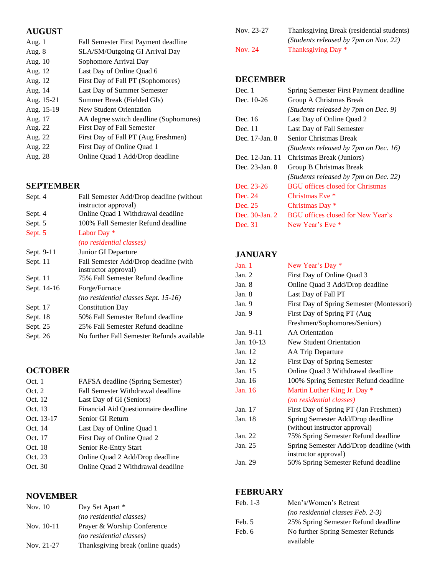# **AUGUST**

| Aug. 1     | Fall Semester First Payment deadline   |
|------------|----------------------------------------|
| Aug. 8     | SLA/SM/Outgoing GI Arrival Day         |
| Aug. 10    | Sophomore Arrival Day                  |
| Aug. 12    | Last Day of Online Quad 6              |
| Aug. 12    | First Day of Fall PT (Sophomores)      |
| Aug. 14    | Last Day of Summer Semester            |
| Aug. 15-21 | Summer Break (Fielded GIs)             |
| Aug. 15-19 | <b>New Student Orientation</b>         |
| Aug. 17    | AA degree switch deadline (Sophomores) |
| Aug. 22    | First Day of Fall Semester             |
| Aug. 22    | First Day of Fall PT (Aug Freshmen)    |
| Aug. 22    | First Day of Online Quad 1             |
| Aug. 28    | Online Quad 1 Add/Drop deadline        |

# **SEPTEMBER**

| Sept. 4     | Fall Semester Add/Drop deadline (without)  |
|-------------|--------------------------------------------|
|             | instructor approval)                       |
| Sept. 4     | Online Quad 1 Withdrawal deadline          |
| Sept. 5     | 100% Fall Semester Refund deadline         |
| Sept. 5     | Labor Day *                                |
|             | <i>(no residential classes)</i>            |
| Sept. 9-11  | Junior GI Departure                        |
| Sept. 11    | Fall Semester Add/Drop deadline (with      |
|             | instructor approval)                       |
| Sept. 11    | 75% Fall Semester Refund deadline          |
| Sept. 14-16 | Forge/Furnace                              |
|             | (no residential classes Sept. 15-16)       |
| Sept. 17    | <b>Constitution Day</b>                    |
| Sept. 18    | 50% Fall Semester Refund deadline          |
| Sept. 25    | 25% Fall Semester Refund deadline          |
| Sept. 26    | No further Fall Semester Refunds available |

# **OCTOBER**

| Oct. 1     | FAFSA deadline (Spring Semester)     |
|------------|--------------------------------------|
| Oct. 2     | Fall Semester Withdrawal deadline    |
| Oct. 12    | Last Day of GI (Seniors)             |
| Oct. 13    | Financial Aid Questionnaire deadline |
| Oct. 13-17 | Senior GI Return                     |
| Oct. 14    | Last Day of Online Quad 1            |
| Oct. 17    | First Day of Online Quad 2           |
| Oct. 18    | Senior Re-Entry Start                |
| Oct. 23    | Online Quad 2 Add/Drop deadline      |
| Oct. 30    | Online Quad 2 Withdrawal deadline    |
|            |                                      |

# **NOVEMBER**

| Nov. 10      | Day Set Apart *                   |
|--------------|-----------------------------------|
|              | (no residential classes)          |
| Nov. $10-11$ | Prayer & Worship Conference       |
|              | (no residential classes)          |
| Nov. 21-27   | Thanksgiving break (online quads) |

| Nov. 23-27 | Thanksgiving Break (residential students) |
|------------|-------------------------------------------|
|            | (Students released by 7pm on Nov. 22)     |
| Nov. 24    | Thanksgiving Day *                        |

# **DECEMBER**

| Dec. 1          | Spring Semester First Payment deadline   |
|-----------------|------------------------------------------|
| Dec. 10-26      | Group A Christmas Break                  |
|                 | (Students released by 7pm on Dec. 9)     |
| Dec. 16         | Last Day of Online Quad 2                |
| Dec. 11         | Last Day of Fall Semester                |
| Dec. 17-Jan. 8  | Senior Christmas Break                   |
|                 | (Students released by 7pm on Dec. 16)    |
| Dec. 12-Jan. 11 | Christmas Break (Juniors)                |
| Dec. 23-Jan. 8  | Group B Christmas Break                  |
|                 | (Students released by 7pm on Dec. 22)    |
| Dec. 23-26      | <b>BGU</b> offices closed for Christmas  |
| Dec. 24         | Christmas Eve *                          |
| Dec. 25         | Christmas Day *                          |
| Dec. 30-Jan. 2  | <b>BGU</b> offices closed for New Year's |
| Dec. 31         | New Year's Eve *                         |

# **JANUARY**

| Jan.1      | New Year's Day *                          |
|------------|-------------------------------------------|
| Jan. $2$   | First Day of Online Quad 3                |
| Jan. 8     | Online Quad 3 Add/Drop deadline           |
| Jan. $8$   | Last Day of Fall PT                       |
| Jan. $9$   | First Day of Spring Semester (Montessori) |
| Jan. 9     | First Day of Spring PT (Aug               |
|            | Freshmen/Sophomores/Seniors)              |
| Jan. 9-11  | <b>AA</b> Orientation                     |
| Jan. 10-13 | <b>New Student Orientation</b>            |
| Jan. 12    | AA Trip Departure                         |
| Jan. 12    | First Day of Spring Semester              |
| Jan. 15    | Online Quad 3 Withdrawal deadline         |
| Jan. 16    | 100% Spring Semester Refund deadline      |
| Jan. 16    | Martin Luther King Jr. Day *              |
|            | (no residential classes)                  |
| Jan. 17    | First Day of Spring PT (Jan Freshmen)     |
| Jan. 18    | Spring Semester Add/Drop deadline         |
|            | (without instructor approval)             |
| Jan. 22    | 75% Spring Semester Refund deadline       |
| Jan. 25    | Spring Semester Add/Drop deadline (with   |
|            | instructor approval)                      |
| Jan. 29    | 50% Spring Semester Refund deadline       |

# **FEBRUARY**

| Feb. 1-3 | Men's/Women's Retreat               |
|----------|-------------------------------------|
|          | (no residential classes Feb. 2-3)   |
| Feb. 5   | 25% Spring Semester Refund deadline |
| Feb. 6   | No further Spring Semester Refunds  |
|          | available                           |